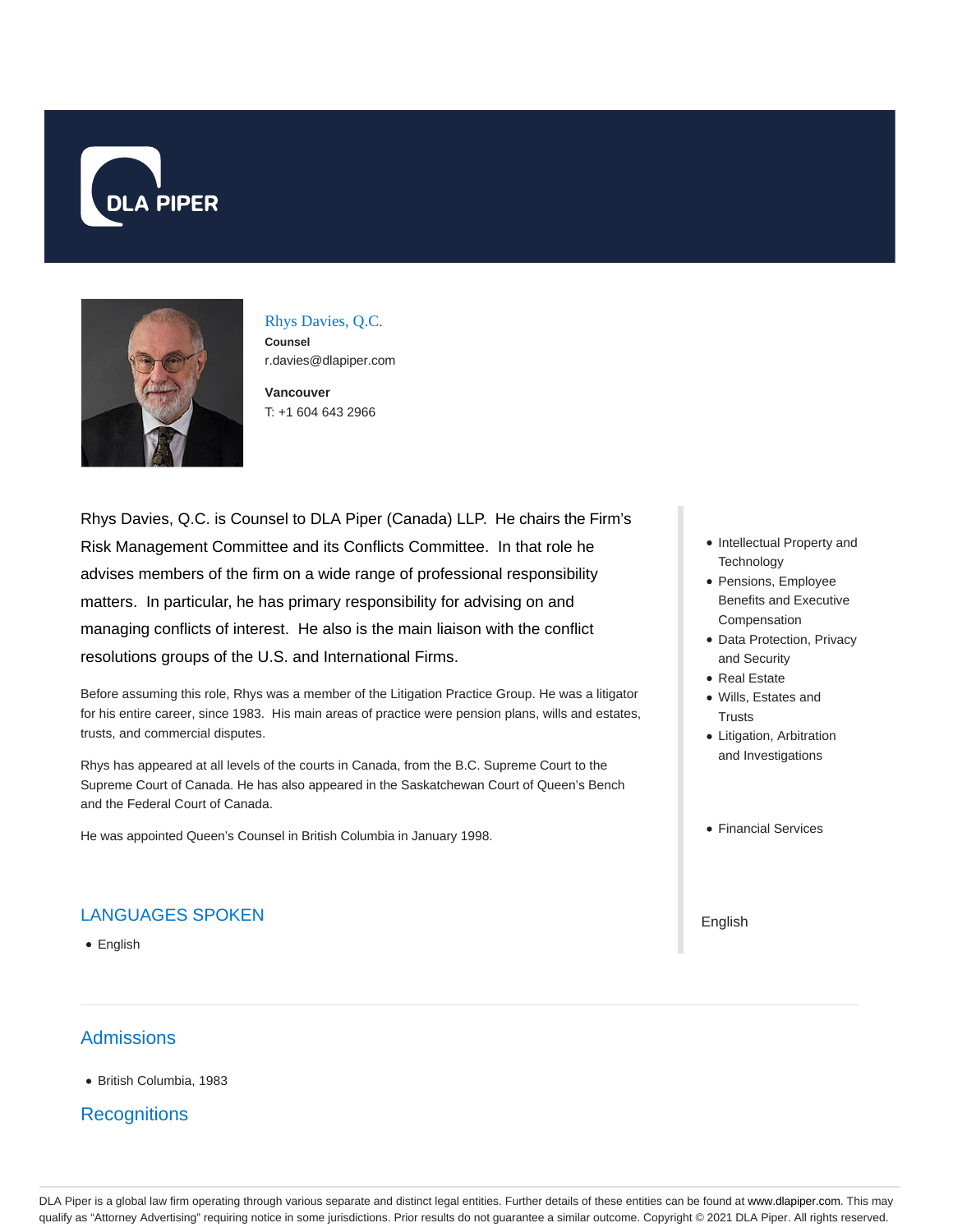



#### Rhys Davies, Q.C. **Counsel** r.davies@dlapiper.com

**Vancouver** T: +1 604 643 2966

Rhys Davies, Q.C. is Counsel to DLA Piper (Canada) LLP. He chairs the Firm's Risk Management Committee and its Conflicts Committee. In that role he advises members of the firm on a wide range of professional responsibility matters. In particular, he has primary responsibility for advising on and managing conflicts of interest. He also is the main liaison with the conflict resolutions groups of the U.S. and International Firms.

Before assuming this role, Rhys was a member of the Litigation Practice Group. He was a litigator for his entire career, since 1983. His main areas of practice were pension plans, wills and estates, trusts, and commercial disputes.

Rhys has appeared at all levels of the courts in Canada, from the B.C. Supreme Court to the Supreme Court of Canada. He has also appeared in the Saskatchewan Court of Queen's Bench and the Federal Court of Canada.

He was appointed Queen's Counsel in British Columbia in January 1998.

### LANGUAGES SPOKEN

• English

# Admissions

British Columbia, 1983

## **Recognitions**

- Intellectual Property and **Technology**
- Pensions, Employee Benefits and Executive Compensation
- Data Protection, Privacy and Security
- Real Estate
- Wills, Estates and **Trusts**
- Litigation, Arbitration and Investigations
- Financial Services

English